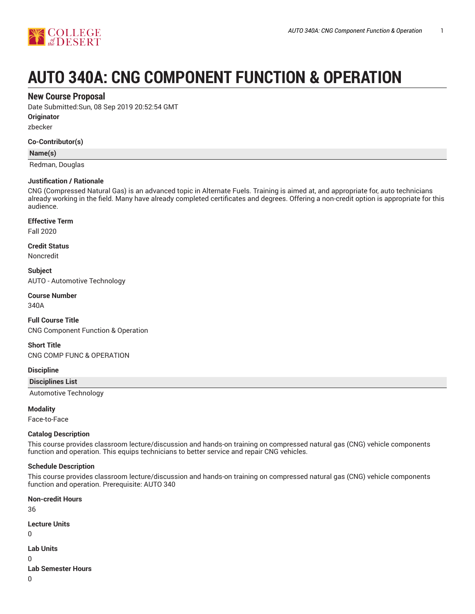

# **AUTO 340A: CNG COMPONENT FUNCTION & OPERATION**

## **New Course Proposal**

Date Submitted:Sun, 08 Sep 2019 20:52:54 GMT

**Originator**

zbecker

#### **Co-Contributor(s)**

#### **Name(s)**

Redman, Douglas

#### **Justification / Rationale**

CNG (Compressed Natural Gas) is an advanced topic in Alternate Fuels. Training is aimed at, and appropriate for, auto technicians already working in the field. Many have already completed certificates and degrees. Offering a non-credit option is appropriate for this audience.

## **Effective Term**

Fall 2020

#### **Credit Status**

Noncredit

**Subject** AUTO - Automotive Technology

**Course Number**

340A

## **Full Course Title**

CNG Component Function & Operation

#### **Short Title**

CNG COMP FUNC & OPERATION

#### **Discipline**

**Disciplines List**

Automotive Technology

#### **Modality**

Face-to-Face

#### **Catalog Description**

This course provides classroom lecture/discussion and hands-on training on compressed natural gas (CNG) vehicle components function and operation. This equips technicians to better service and repair CNG vehicles.

#### **Schedule Description**

This course provides classroom lecture/discussion and hands-on training on compressed natural gas (CNG) vehicle components function and operation. Prerequisite: AUTO 340

**Non-credit Hours** 36 **Lecture Units** 0 **Lab Units** 0 **Lab Semester Hours**

0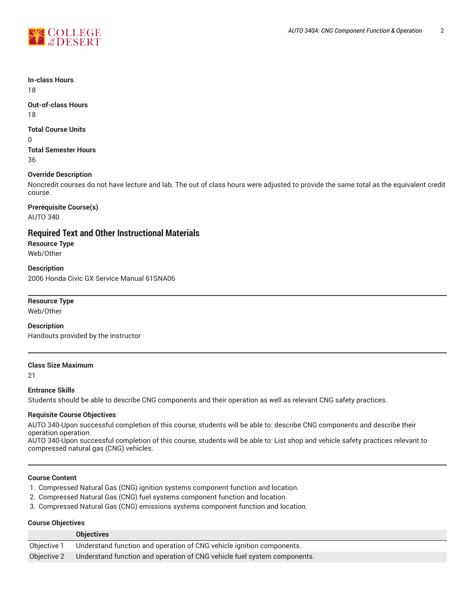

**In-class Hours**

18

**Out-of-class Hours** 18

## **Total Course Units**

0

**Total Semester Hours** 36

## **Override Description**

Noncredit courses do not have lecture and lab. The out of class hours were adjusted to provide the same total as the equivalent credit course.

**Prerequisite Course(s)** AUTO 340

## **Required Text and Other Instructional Materials**

**Resource Type** Web/Other

**Description** 2006 Honda Civic GX Service Manual 61SNA06

## **Resource Type**

Web/Other

#### **Description**

Handouts provided by the instructor

#### **Class Size Maximum**

21

## **Entrance Skills**

Students should be able to describe CNG components and their operation as well as relevant CNG safety practices.

#### **Requisite Course Objectives**

AUTO 340-Upon successful completion of this course, students will be able to: describe CNG components and describe their operation operation.

AUTO 340-Upon successful completion of this course, students will be able to: List shop and vehicle safety practices relevant to compressed natural gas (CNG) vehicles.

## **Course Content**

- 1. Compressed Natural Gas (CNG) ignition systems component function and location.
- 2. Compressed Natural Gas (CNG) fuel systems component function and location.
- 3. Compressed Natural Gas (CNG) emissions systems component function and location.

#### **Course Objectives**

|             | <b>Objectives</b>                                                        |
|-------------|--------------------------------------------------------------------------|
| Objective 1 | Understand function and operation of CNG vehicle ignition components.    |
| Objective 2 | Understand function and operation of CNG vehicle fuel system components. |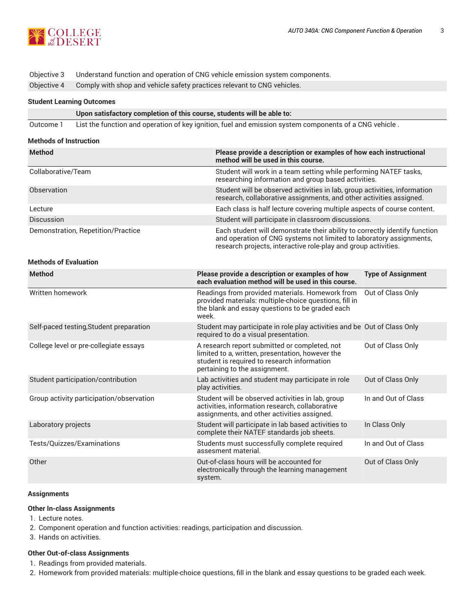

## Objective 3 Understand function and operation of CNG vehicle emission system components.

Objective 4 Comply with shop and vehicle safety practices relevant to CNG vehicles.

## **Student Learning Outcomes**

| Upon satisfactory completion of this course, students will be able to: |
|------------------------------------------------------------------------|
|------------------------------------------------------------------------|

Outcome 1 List the function and operation of key ignition, fuel and emission system components of a CNG vehicle .

#### **Methods of Instruction**

| <b>Method</b>                      | Please provide a description or examples of how each instructional<br>method will be used in this course.                                                                                                           |
|------------------------------------|---------------------------------------------------------------------------------------------------------------------------------------------------------------------------------------------------------------------|
| Collaborative/Team                 | Student will work in a team setting while performing NATEF tasks,<br>researching information and group based activities.                                                                                            |
| Observation                        | Student will be observed activities in lab, group activities, information<br>research, collaborative assignments, and other activities assigned.                                                                    |
| Lecture                            | Each class is half lecture covering multiple aspects of course content.                                                                                                                                             |
| <b>Discussion</b>                  | Student will participate in classroom discussions.                                                                                                                                                                  |
| Demonstration, Repetition/Practice | Each student will demonstrate their ability to correctly identify function<br>and operation of CNG systems not limited to laboratory assignments,<br>research projects, interactive role-play and group activities. |

#### **Methods of Evaluation**

| <b>Method</b>                            | Please provide a description or examples of how<br>each evaluation method will be used in this course.                                                                            | <b>Type of Assignment</b> |
|------------------------------------------|-----------------------------------------------------------------------------------------------------------------------------------------------------------------------------------|---------------------------|
| Written homework                         | Readings from provided materials. Homework from<br>provided materials: multiple-choice questions, fill in<br>the blank and essay questions to be graded each<br>week.             | Out of Class Only         |
| Self-paced testing, Student preparation  | Student may participate in role play activities and be Out of Class Only<br>required to do a visual presentation.                                                                 |                           |
| College level or pre-collegiate essays   | A research report submitted or completed, not<br>limited to a, written, presentation, however the<br>student is required to research information<br>pertaining to the assignment. | Out of Class Only         |
| Student participation/contribution       | Lab activities and student may participate in role<br>play activities.                                                                                                            | Out of Class Only         |
| Group activity participation/observation | Student will be observed activities in lab, group<br>activities, information research, collaborative<br>assignments, and other activities assigned.                               | In and Out of Class       |
| Laboratory projects                      | Student will participate in lab based activities to<br>complete their NATEF standards job sheets.                                                                                 | In Class Only             |
| Tests/Quizzes/Examinations               | Students must successfully complete required<br>assesment material.                                                                                                               | In and Out of Class       |
| Other                                    | Out-of-class hours will be accounted for<br>electronically through the learning management<br>system.                                                                             | Out of Class Only         |

#### **Assignments**

#### **Other In-class Assignments**

- 1. Lecture notes.
- 2. Component operation and function activities: readings, participation and discussion.
- 3. Hands on activities.

#### **Other Out-of-class Assignments**

- 1. Readings from provided materials.
- 2. Homework from provided materials: multiple-choice questions, fill in the blank and essay questions to be graded each week.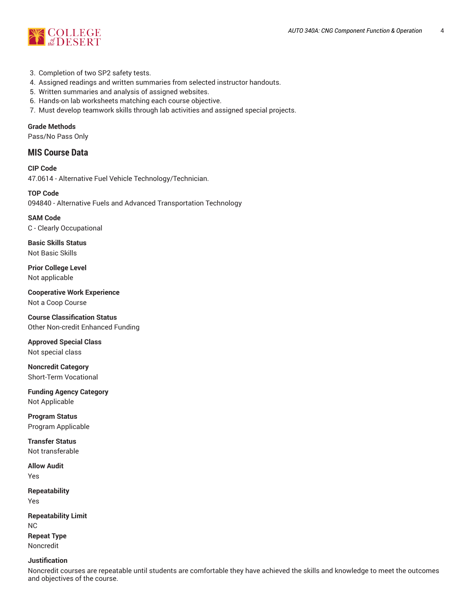

- 3. Completion of two SP2 safety tests.
- 4. Assigned readings and written summaries from selected instructor handouts.
- 5. Written summaries and analysis of assigned websites.
- 6. Hands-on lab worksheets matching each course objective.
- 7. Must develop teamwork skills through lab activities and assigned special projects.

**Grade Methods**

Pass/No Pass Only

## **MIS Course Data**

**CIP Code** 47.0614 - Alternative Fuel Vehicle Technology/Technician.

**TOP Code** 094840 - Alternative Fuels and Advanced Transportation Technology

**SAM Code** C - Clearly Occupational

**Basic Skills Status** Not Basic Skills

**Prior College Level** Not applicable

**Cooperative Work Experience** Not a Coop Course

**Course Classification Status** Other Non-credit Enhanced Funding

**Approved Special Class** Not special class

**Noncredit Category** Short-Term Vocational

**Funding Agency Category** Not Applicable

**Program Status** Program Applicable

**Transfer Status** Not transferable

**Allow Audit** Yes

**Repeatability** Yes

**Repeatability Limit** NC **Repeat Type** Noncredit

#### **Justification**

Noncredit courses are repeatable until students are comfortable they have achieved the skills and knowledge to meet the outcomes and objectives of the course.